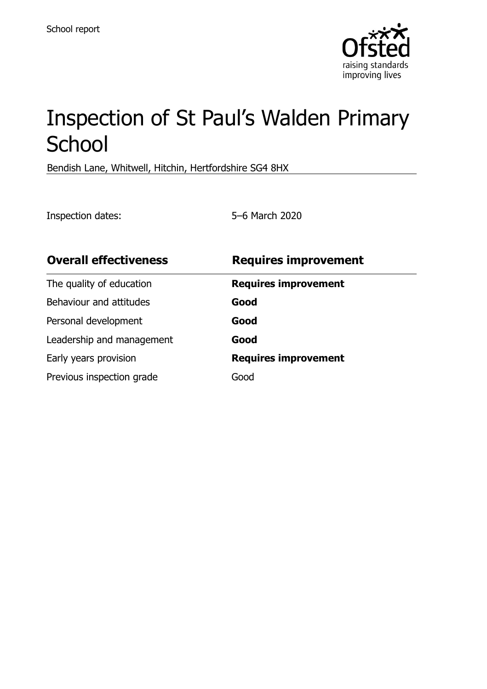

# Inspection of St Paul's Walden Primary **School**

Bendish Lane, Whitwell, Hitchin, Hertfordshire SG4 8HX

Inspection dates: 5–6 March 2020

| <b>Overall effectiveness</b> | <b>Requires improvement</b> |
|------------------------------|-----------------------------|
| The quality of education     | <b>Requires improvement</b> |
| Behaviour and attitudes      | Good                        |
| Personal development         | Good                        |
| Leadership and management    | Good                        |
| Early years provision        | <b>Requires improvement</b> |
| Previous inspection grade    | Good                        |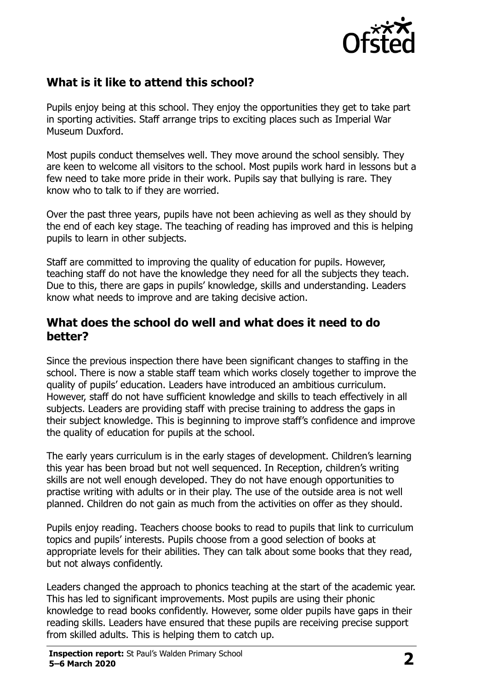

## **What is it like to attend this school?**

Pupils enjoy being at this school. They enjoy the opportunities they get to take part in sporting activities. Staff arrange trips to exciting places such as Imperial War Museum Duxford.

Most pupils conduct themselves well. They move around the school sensibly. They are keen to welcome all visitors to the school. Most pupils work hard in lessons but a few need to take more pride in their work. Pupils say that bullying is rare. They know who to talk to if they are worried.

Over the past three years, pupils have not been achieving as well as they should by the end of each key stage. The teaching of reading has improved and this is helping pupils to learn in other subjects.

Staff are committed to improving the quality of education for pupils. However, teaching staff do not have the knowledge they need for all the subjects they teach. Due to this, there are gaps in pupils' knowledge, skills and understanding. Leaders know what needs to improve and are taking decisive action.

#### **What does the school do well and what does it need to do better?**

Since the previous inspection there have been significant changes to staffing in the school. There is now a stable staff team which works closely together to improve the quality of pupils' education. Leaders have introduced an ambitious curriculum. However, staff do not have sufficient knowledge and skills to teach effectively in all subjects. Leaders are providing staff with precise training to address the gaps in their subject knowledge. This is beginning to improve staff's confidence and improve the quality of education for pupils at the school.

The early years curriculum is in the early stages of development. Children's learning this year has been broad but not well sequenced. In Reception, children's writing skills are not well enough developed. They do not have enough opportunities to practise writing with adults or in their play. The use of the outside area is not well planned. Children do not gain as much from the activities on offer as they should.

Pupils enjoy reading. Teachers choose books to read to pupils that link to curriculum topics and pupils' interests. Pupils choose from a good selection of books at appropriate levels for their abilities. They can talk about some books that they read, but not always confidently.

Leaders changed the approach to phonics teaching at the start of the academic year. This has led to significant improvements. Most pupils are using their phonic knowledge to read books confidently. However, some older pupils have gaps in their reading skills. Leaders have ensured that these pupils are receiving precise support from skilled adults. This is helping them to catch up.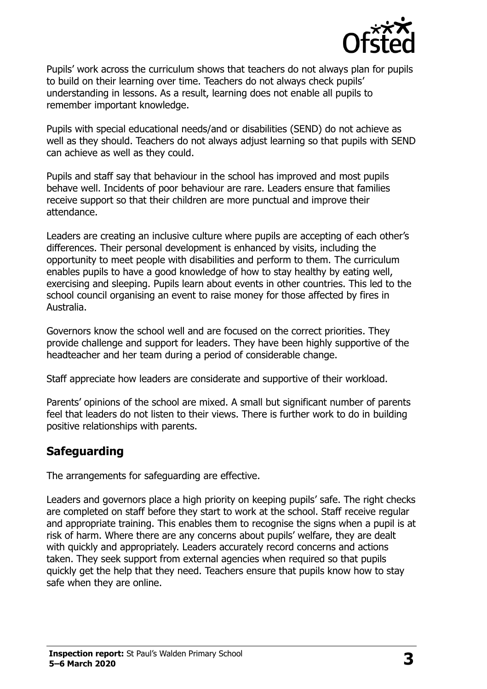

Pupils' work across the curriculum shows that teachers do not always plan for pupils to build on their learning over time. Teachers do not always check pupils' understanding in lessons. As a result, learning does not enable all pupils to remember important knowledge.

Pupils with special educational needs/and or disabilities (SEND) do not achieve as well as they should. Teachers do not always adjust learning so that pupils with SEND can achieve as well as they could.

Pupils and staff say that behaviour in the school has improved and most pupils behave well. Incidents of poor behaviour are rare. Leaders ensure that families receive support so that their children are more punctual and improve their attendance.

Leaders are creating an inclusive culture where pupils are accepting of each other's differences. Their personal development is enhanced by visits, including the opportunity to meet people with disabilities and perform to them. The curriculum enables pupils to have a good knowledge of how to stay healthy by eating well, exercising and sleeping. Pupils learn about events in other countries. This led to the school council organising an event to raise money for those affected by fires in Australia.

Governors know the school well and are focused on the correct priorities. They provide challenge and support for leaders. They have been highly supportive of the headteacher and her team during a period of considerable change.

Staff appreciate how leaders are considerate and supportive of their workload.

Parents' opinions of the school are mixed. A small but significant number of parents feel that leaders do not listen to their views. There is further work to do in building positive relationships with parents.

### **Safeguarding**

The arrangements for safeguarding are effective.

Leaders and governors place a high priority on keeping pupils' safe. The right checks are completed on staff before they start to work at the school. Staff receive regular and appropriate training. This enables them to recognise the signs when a pupil is at risk of harm. Where there are any concerns about pupils' welfare, they are dealt with quickly and appropriately. Leaders accurately record concerns and actions taken. They seek support from external agencies when required so that pupils quickly get the help that they need. Teachers ensure that pupils know how to stay safe when they are online.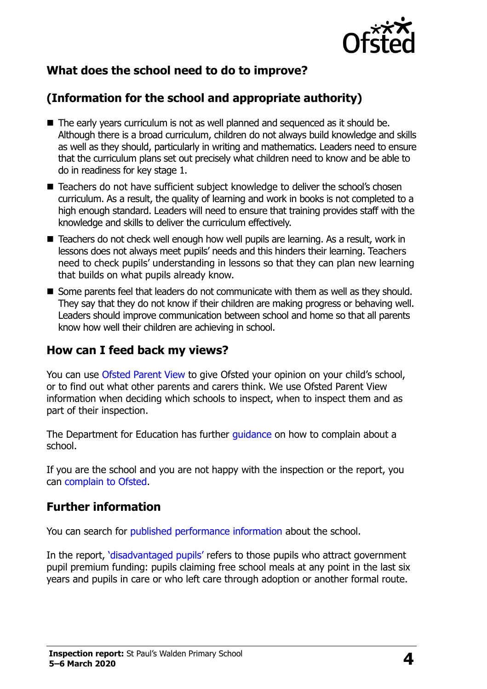

## **What does the school need to do to improve?**

## **(Information for the school and appropriate authority)**

- The early years curriculum is not as well planned and sequenced as it should be. Although there is a broad curriculum, children do not always build knowledge and skills as well as they should, particularly in writing and mathematics. Leaders need to ensure that the curriculum plans set out precisely what children need to know and be able to do in readiness for key stage 1.
- Teachers do not have sufficient subject knowledge to deliver the school's chosen curriculum. As a result, the quality of learning and work in books is not completed to a high enough standard. Leaders will need to ensure that training provides staff with the knowledge and skills to deliver the curriculum effectively.
- Teachers do not check well enough how well pupils are learning. As a result, work in lessons does not always meet pupils' needs and this hinders their learning. Teachers need to check pupils' understanding in lessons so that they can plan new learning that builds on what pupils already know.
- Some parents feel that leaders do not communicate with them as well as they should. They say that they do not know if their children are making progress or behaving well. Leaders should improve communication between school and home so that all parents know how well their children are achieving in school.

### **How can I feed back my views?**

You can use [Ofsted Parent View](http://parentview.ofsted.gov.uk/) to give Ofsted your opinion on your child's school, or to find out what other parents and carers think. We use Ofsted Parent View information when deciding which schools to inspect, when to inspect them and as part of their inspection.

The Department for Education has further quidance on how to complain about a school.

If you are the school and you are not happy with the inspection or the report, you can [complain to Ofsted.](http://www.gov.uk/complain-ofsted-report)

### **Further information**

You can search for [published performance information](http://www.compare-school-performance.service.gov.uk/) about the school.

In the report, '[disadvantaged pupils](http://www.gov.uk/guidance/pupil-premium-information-for-schools-and-alternative-provision-settings)' refers to those pupils who attract government pupil premium funding: pupils claiming free school meals at any point in the last six years and pupils in care or who left care through adoption or another formal route.

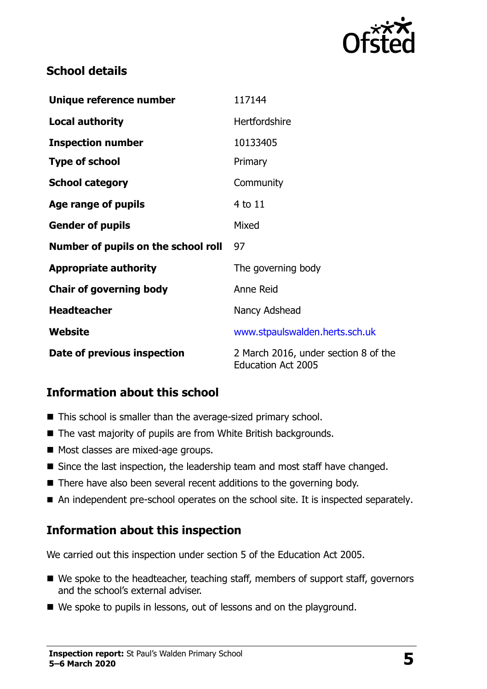

## **School details**

| Unique reference number             | 117144                                                            |
|-------------------------------------|-------------------------------------------------------------------|
| <b>Local authority</b>              | Hertfordshire                                                     |
| <b>Inspection number</b>            | 10133405                                                          |
| <b>Type of school</b>               | Primary                                                           |
| <b>School category</b>              | Community                                                         |
| Age range of pupils                 | 4 to 11                                                           |
| <b>Gender of pupils</b>             | Mixed                                                             |
| Number of pupils on the school roll | 97                                                                |
| <b>Appropriate authority</b>        | The governing body                                                |
| <b>Chair of governing body</b>      | Anne Reid                                                         |
| <b>Headteacher</b>                  | Nancy Adshead                                                     |
| Website                             | www.stpaulswalden.herts.sch.uk                                    |
| Date of previous inspection         | 2 March 2016, under section 8 of the<br><b>Education Act 2005</b> |

### **Information about this school**

- This school is smaller than the average-sized primary school.
- The vast majority of pupils are from White British backgrounds.
- Most classes are mixed-age groups.
- Since the last inspection, the leadership team and most staff have changed.
- There have also been several recent additions to the governing body.
- An independent pre-school operates on the school site. It is inspected separately.

## **Information about this inspection**

We carried out this inspection under section 5 of the Education Act 2005.

- We spoke to the headteacher, teaching staff, members of support staff, governors and the school's external adviser.
- We spoke to pupils in lessons, out of lessons and on the playground.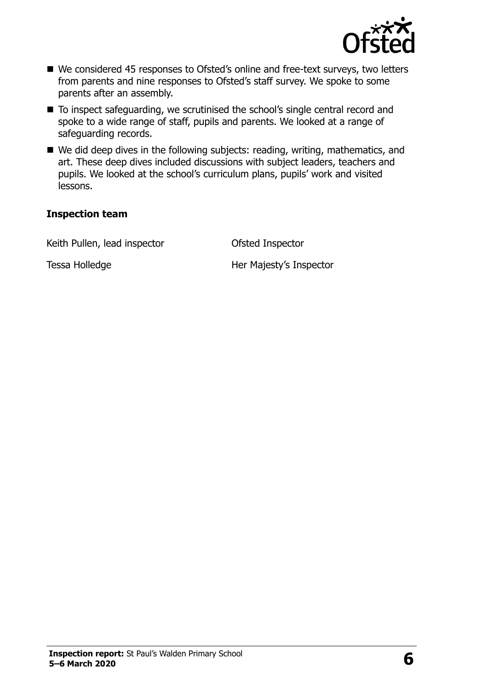

- We considered 45 responses to Ofsted's online and free-text surveys, two letters from parents and nine responses to Ofsted's staff survey. We spoke to some parents after an assembly.
- To inspect safeguarding, we scrutinised the school's single central record and spoke to a wide range of staff, pupils and parents. We looked at a range of safeguarding records.
- We did deep dives in the following subjects: reading, writing, mathematics, and art. These deep dives included discussions with subject leaders, teachers and pupils. We looked at the school's curriculum plans, pupils' work and visited lessons.

#### **Inspection team**

Keith Pullen, lead inspector **Contact Contact Contact Contact Contact Contact Contact Contact Contact Contact Contact Contact Contact Contact Contact Contact Contact Contact Contact Contact Contact Contact Contact Contact** 

Tessa Holledge **Her Majesty's Inspector**